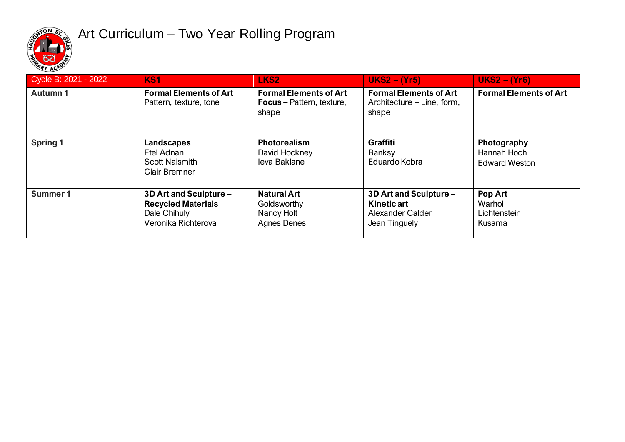

## Art Curriculum – Two Year Rolling Program

| Cycle B: 2021 - 2022 | KS <sub>1</sub>                                                                            | LKS <sub>2</sub>                                                           | $UKS2 - (Yr5)$                                                                    | $UKS2 - (Yr6)$                                     |
|----------------------|--------------------------------------------------------------------------------------------|----------------------------------------------------------------------------|-----------------------------------------------------------------------------------|----------------------------------------------------|
| <b>Autumn1</b>       | <b>Formal Elements of Art</b><br>Pattern, texture, tone                                    | <b>Formal Elements of Art</b><br><b>Focus</b> – Pattern, texture,<br>shape | <b>Formal Elements of Art</b><br>Architecture – Line, form,<br>shape              | <b>Formal Elements of Art</b>                      |
| Spring 1             | Landscapes<br>Etel Adnan<br><b>Scott Naismith</b><br><b>Clair Bremner</b>                  | <b>Photorealism</b><br>David Hockney<br>leva Baklane                       | <b>Graffiti</b><br><b>Banksy</b><br>Eduardo Kobra                                 | Photography<br>Hannah Höch<br><b>Edward Weston</b> |
| Summer 1             | 3D Art and Sculpture -<br><b>Recycled Materials</b><br>Dale Chihuly<br>Veronika Richterova | <b>Natural Art</b><br>Goldsworthy<br>Nancy Holt<br><b>Agnes Denes</b>      | 3D Art and Sculpture -<br><b>Kinetic art</b><br>Alexander Calder<br>Jean Tinguely | Pop Art<br>Warhol<br>Lichtenstein<br>Kusama        |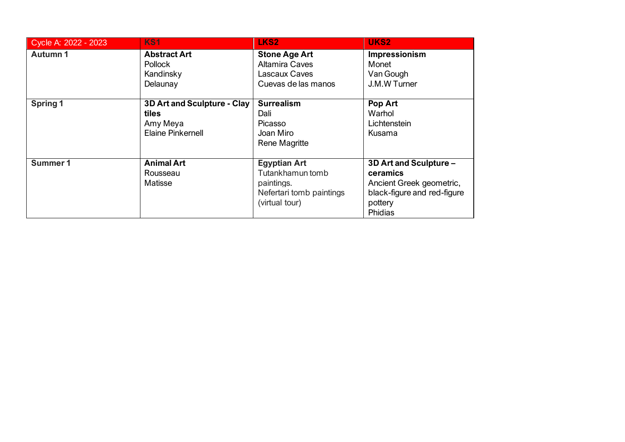| Cycle A: 2022 - 2023 | <b>KS1</b>                                                                   | LKS <sub>2</sub>                                                                                    | UKS2                                                                                                                |
|----------------------|------------------------------------------------------------------------------|-----------------------------------------------------------------------------------------------------|---------------------------------------------------------------------------------------------------------------------|
| Autumn 1             | <b>Abstract Art</b><br><b>Pollock</b><br>Kandinsky<br>Delaunay               | <b>Stone Age Art</b><br><b>Altamira Caves</b><br>Lascaux Caves<br>Cuevas de las manos               | Impressionism<br>Monet<br>Van Gough<br>J.M.W Turner                                                                 |
| <b>Spring 1</b>      | 3D Art and Sculpture - Clay<br>tiles<br>Amy Meya<br><b>Elaine Pinkernell</b> | <b>Surrealism</b><br>Dali<br>Picasso<br>Joan Miro<br><b>Rene Magritte</b>                           | Pop Art<br>Warhol<br>Lichtenstein<br>Kusama                                                                         |
| Summer 1             | <b>Animal Art</b><br>Rousseau<br>Matisse                                     | <b>Egyptian Art</b><br>Tutankhamun tomb<br>paintings.<br>Nefertari tomb paintings<br>(virtual tour) | 3D Art and Sculpture -<br>ceramics<br>Ancient Greek geometric,<br>black-figure and red-figure<br>pottery<br>Phidias |